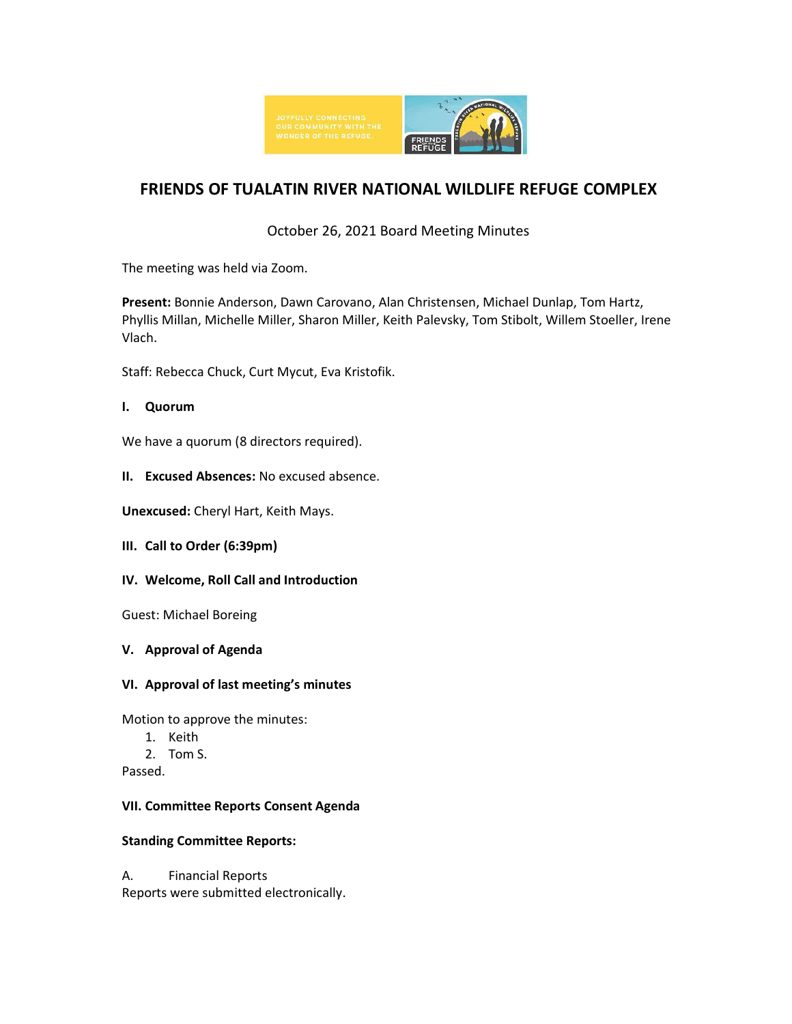

# **FRIENDS OF TUALATIN RIVER NATIONAL WILDLIFE REFUGE COMPLEX**

# October 26, 2021 Board Meeting Minutes

The meeting was held via Zoom.

**Present:** Bonnie Anderson, Dawn Carovano, Alan Christensen, Michael Dunlap, Tom Hartz, Phyllis Millan, Michelle Miller, Sharon Miller, Keith Palevsky, Tom Stibolt, Willem Stoeller, Irene Vlach.

Staff: Rebecca Chuck, Curt Mycut, Eva Kristofik.

# **I. Quorum**

We have a quorum (8 directors required).

**II. Excused Absences:** No excused absence.

**Unexcused:** Cheryl Hart, Keith Mays.

- **III. Call to Order (6:39pm)**
- **IV. Welcome, Roll Call and Introduction**

Guest: Michael Boreing

**V. Approval of Agenda**

#### **VI. Approval of last meeting's minutes**

Motion to approve the minutes:

- 1. Keith
- 2. Tom S.

Passed.

#### **VII. Committee Reports Consent Agenda**

#### **Standing Committee Reports:**

A. Financial Reports Reports were submitted electronically.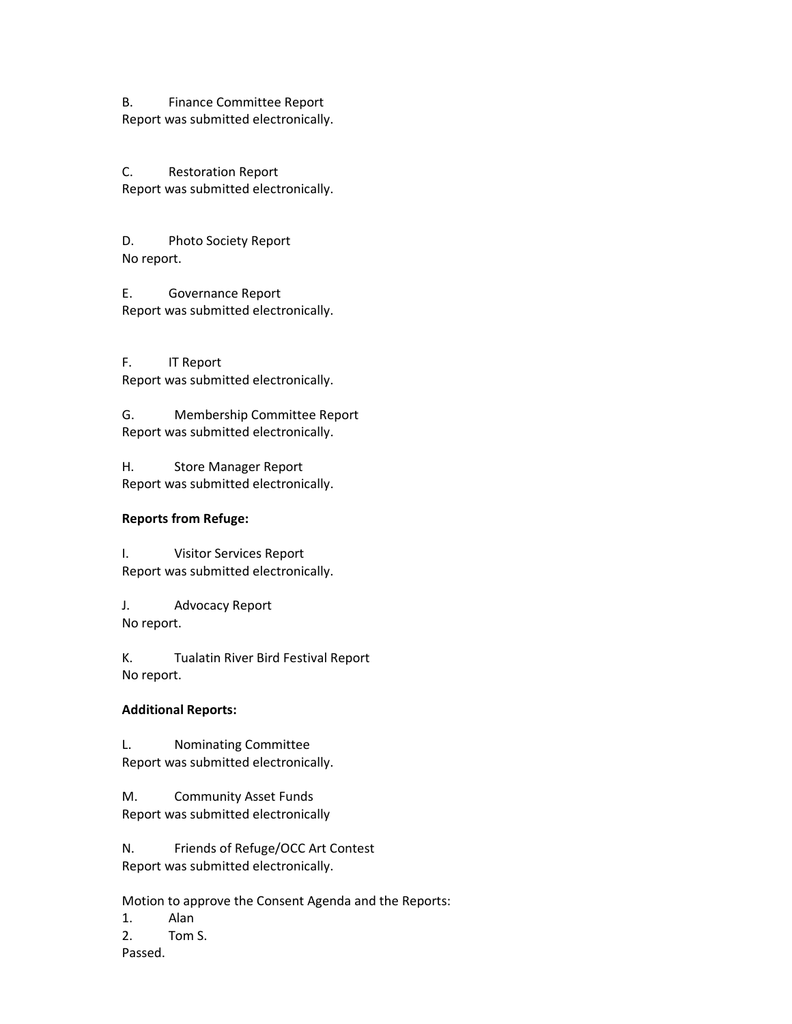B. Finance Committee Report Report was submitted electronically.

C. Restoration Report Report was submitted electronically.

D. Photo Society Report No report.

E. Governance Report Report was submitted electronically.

F. IT Report Report was submitted electronically.

G. Membership Committee Report Report was submitted electronically.

H. Store Manager Report Report was submitted electronically.

#### **Reports from Refuge:**

I. Visitor Services Report Report was submitted electronically.

J. Advocacy Report No report.

K. Tualatin River Bird Festival Report No report.

#### **Additional Reports:**

L. Nominating Committee Report was submitted electronically.

M. Community Asset Funds Report was submitted electronically

N. Friends of Refuge/OCC Art Contest Report was submitted electronically.

Motion to approve the Consent Agenda and the Reports:

1. Alan

2. Tom S.

Passed.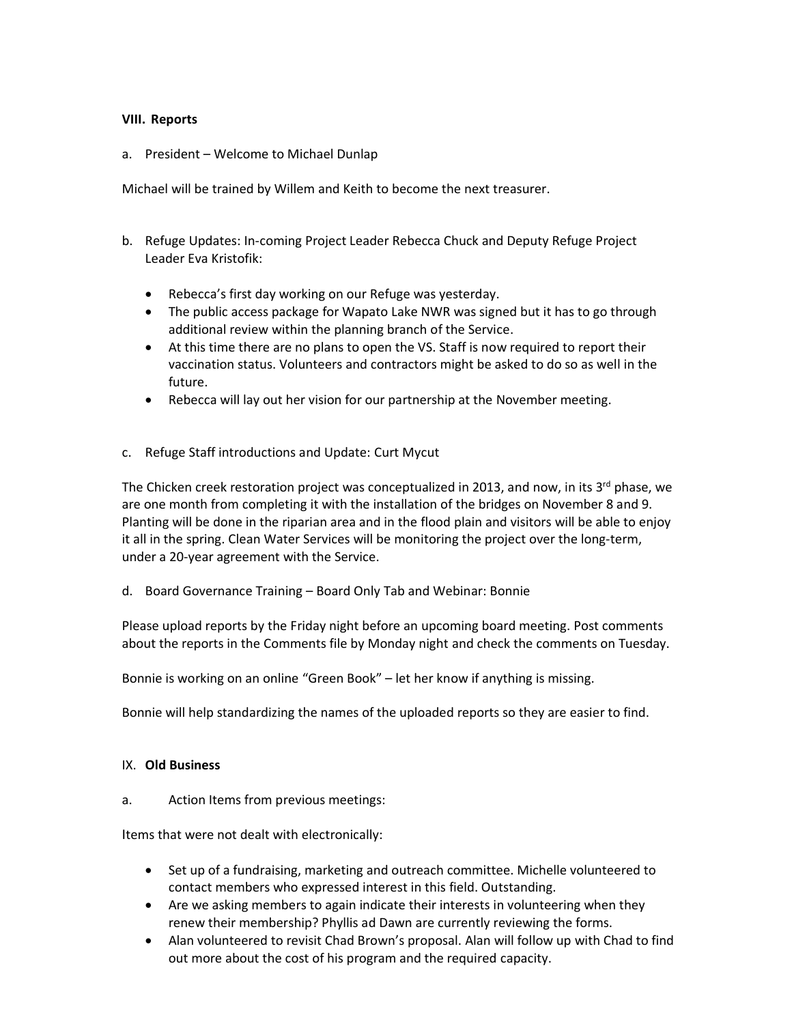#### **VIII. Reports**

a. President – Welcome to Michael Dunlap

Michael will be trained by Willem and Keith to become the next treasurer.

- b. Refuge Updates: In-coming Project Leader Rebecca Chuck and Deputy Refuge Project Leader Eva Kristofik:
	- Rebecca's first day working on our Refuge was yesterday.
	- The public access package for Wapato Lake NWR was signed but it has to go through additional review within the planning branch of the Service.
	- At this time there are no plans to open the VS. Staff is now required to report their vaccination status. Volunteers and contractors might be asked to do so as well in the future.
	- Rebecca will lay out her vision for our partnership at the November meeting.
- c. Refuge Staff introductions and Update: Curt Mycut

The Chicken creek restoration project was conceptualized in 2013, and now, in its 3<sup>rd</sup> phase, we are one month from completing it with the installation of the bridges on November 8 and 9. Planting will be done in the riparian area and in the flood plain and visitors will be able to enjoy it all in the spring. Clean Water Services will be monitoring the project over the long-term, under a 20-year agreement with the Service.

d. Board Governance Training – Board Only Tab and Webinar: Bonnie

Please upload reports by the Friday night before an upcoming board meeting. Post comments about the reports in the Comments file by Monday night and check the comments on Tuesday.

Bonnie is working on an online "Green Book" – let her know if anything is missing.

Bonnie will help standardizing the names of the uploaded reports so they are easier to find.

#### IX. **Old Business**

a. Action Items from previous meetings:

Items that were not dealt with electronically:

- Set up of a fundraising, marketing and outreach committee. Michelle volunteered to contact members who expressed interest in this field. Outstanding.
- Are we asking members to again indicate their interests in volunteering when they renew their membership? Phyllis ad Dawn are currently reviewing the forms.
- Alan volunteered to revisit Chad Brown's proposal. Alan will follow up with Chad to find out more about the cost of his program and the required capacity.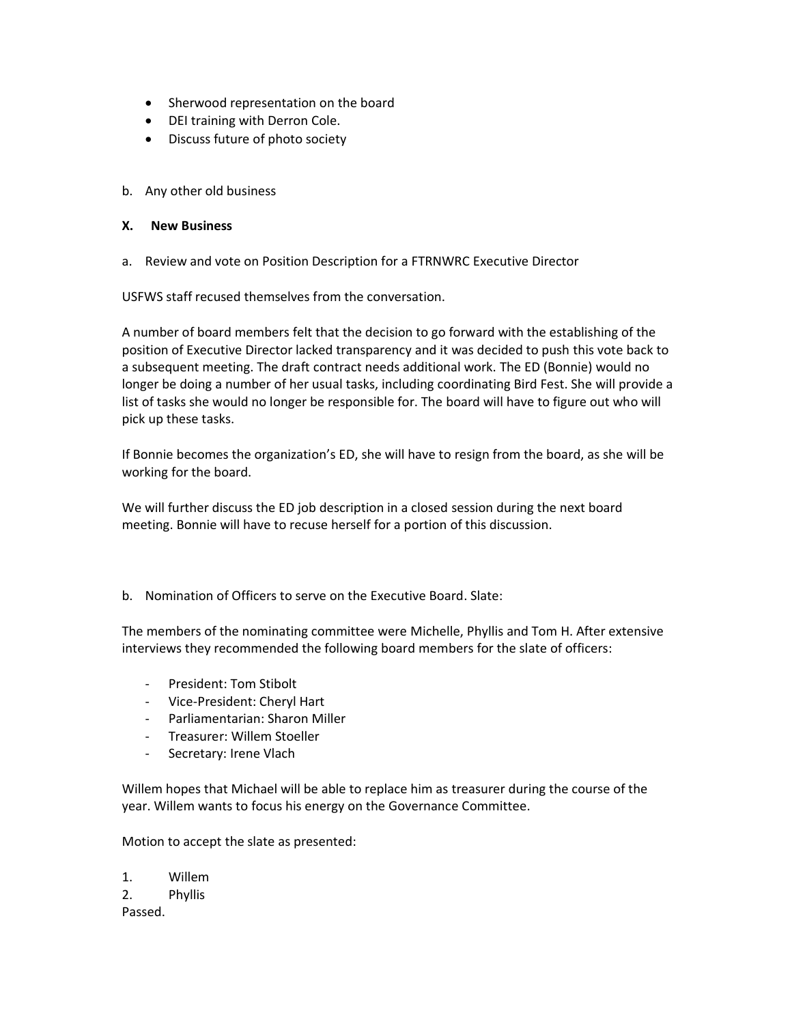- Sherwood representation on the board
- DEI training with Derron Cole.
- Discuss future of photo society
- b. Any other old business

#### **X. New Business**

a. Review and vote on Position Description for a FTRNWRC Executive Director

USFWS staff recused themselves from the conversation.

A number of board members felt that the decision to go forward with the establishing of the position of Executive Director lacked transparency and it was decided to push this vote back to a subsequent meeting. The draft contract needs additional work. The ED (Bonnie) would no longer be doing a number of her usual tasks, including coordinating Bird Fest. She will provide a list of tasks she would no longer be responsible for. The board will have to figure out who will pick up these tasks.

If Bonnie becomes the organization's ED, she will have to resign from the board, as she will be working for the board.

We will further discuss the ED job description in a closed session during the next board meeting. Bonnie will have to recuse herself for a portion of this discussion.

b. Nomination of Officers to serve on the Executive Board. Slate:

The members of the nominating committee were Michelle, Phyllis and Tom H. After extensive interviews they recommended the following board members for the slate of officers:

- President: Tom Stibolt
- Vice-President: Cheryl Hart
- Parliamentarian: Sharon Miller
- Treasurer: Willem Stoeller
- Secretary: Irene Vlach

Willem hopes that Michael will be able to replace him as treasurer during the course of the year. Willem wants to focus his energy on the Governance Committee.

Motion to accept the slate as presented:

1. Willem 2. Phyllis Passed.